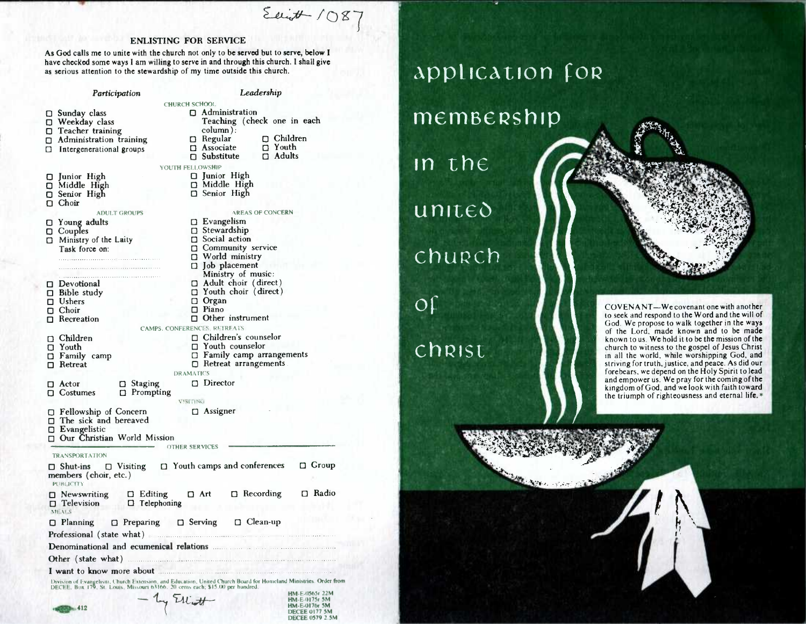Eaint 1087

HM-E•017Sr 5M HM.E-0176r 5M DECEE 0177 5M DECEE 0579 2.3M

## ENLISTING FOR SERVICE

As God calls me to unite with the church not only to be served but to serve, below I have checked some ways I am willing to serve in and through this church. I shall give as serious attention to the stewardship of my time outside this church.

Participation *Leadership*  CHURCH SCH001  $\square$  Sunday class O Administration Teaching (check one in each O Weekday class **O** Teacher training column):<br> $\Box$  Regular O Children<br>
D Youth O Administration training  $\Box$  Associate  $\Box$  Youth  $\Box$  Substitute  $\Box$  Adults O Intergenerational groups  $\Box$  Substitute YOUTH FELLOWSHIP D Junior High O Junior High<br>O Middle High O Middle High Middle High O Senior High □ Senior High O Choir ADULT GROUPS AREAS OF CONCERN D Evangelism D Young adults  $\square$  Stewardship O Couples  $\Box$  Ministry of the Laity  $\square$  Social action **D** Community service Task force on: O World ministry  $\Box$  Job placement Ministry of music: o Adult choir ( direct )  $\square$  Devotional O Youth choir ( direct )  $\square$  Bible study O Organ O Ushers O Choir  $\n **Piano**\n$  $\Box$  Other instrument □ Recreation CAMPS, CONFERENCES, RETREATS **El** Children's counselor o Children  $\n **T**$  Youth counselor O Youth  $\Box$  Family camp O Family camp arrangements O Retreat arrangements  $\Box$  Retreat **DRAMATICS** □ Staging □ Director ID Actor O Costumes **D** Prompting V5H1NG □ Fellowship of Concern □ Assigner  $\square$  The sick and bereaved O Evangelistic **<sup>13</sup>**Our Christian World Mission OTHER SERVICES TRANSPORTATION **<sup>O</sup> Shut-ins ci** Visiting 0 Youth camps and conferences 0 Group members (choir, etc. ) PUBLICITY <sup>o</sup> Newswriting 0 Editing 0 Art 0 Recording 0 Radio  $\square$  Telephoning MI N! <sup>O</sup> Planning 0 Preparing 0 Serving 0 Clean-up Professional ( state what ) Denominational and ecumenical **relations .......**  Other (state what) ........ ...... ................... 1 .. ...... I want to know more about **Example 20** in the state of the state of the state of the state of the state of the state of the state of the state of the state of the state of the state of the state of the state of the state o Division or Evangelism. Church Extension. and biucation, Uniied Church Board for Homeland Ministries. Order from DECEE. Box 179. Si, Louis, Missouri 61166. 20 cents each; 515.00 per hundred. HM.E.0563r 22M by Elliott

•••••••

412 **412** 

## **Application for**

## memBeRship

in the

 $unite<sub>o</sub>$ 

chupch

or

## chRist,



COVENANT—We covenant one with another to seek and respond to the Word and the will of God. We propose to walk together in the ways of the Lord, made known and to be made known to us. We hold it to be the mission of the church to witness to the gospel of Jesus Christ in all the world, while worshipping God, and striving for truth, justice, and peace. As did our forebears, we depend on the Holy Spirit to lead and empower us. We pray for the coming of the kingdom of God, and we look with faith toward the triumph of righteousness and eternal life. $*$